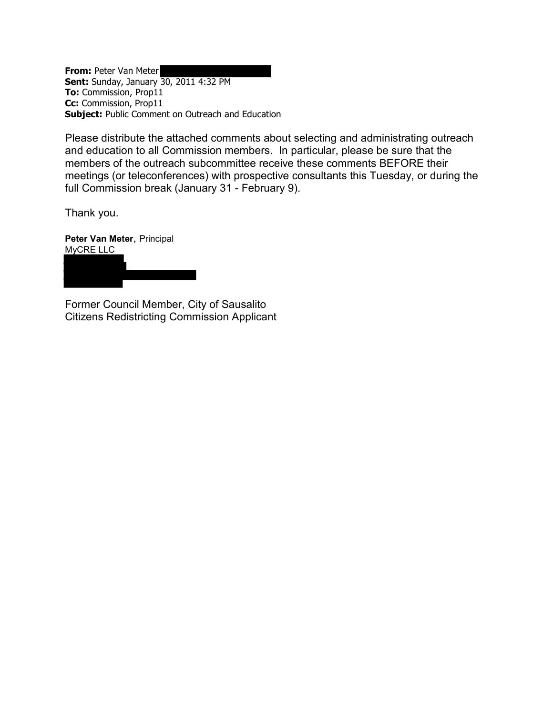**From:** Peter Van Meter **Sent:** Sunday, January 30, 2011 4:32 PM **To:** Commission, Prop11 **Cc:** Commission, Prop11 **Subject:** Public Comment on Outreach and Education

Please distribute the attached comments about selecting and administrating outreach and education to all Commission members. In particular, please be sure that the members of the outreach subcommittee receive these comments BEFORE their meetings (or teleconferences) with prospective consultants this Tuesday, or during the full Commission break (January 31 - February 9).

Thank you.

**Peter Van Meter**, Principal MyCRE LLC

Former Council Member, City of Sausalito Citizens Redistricting Commission Applicant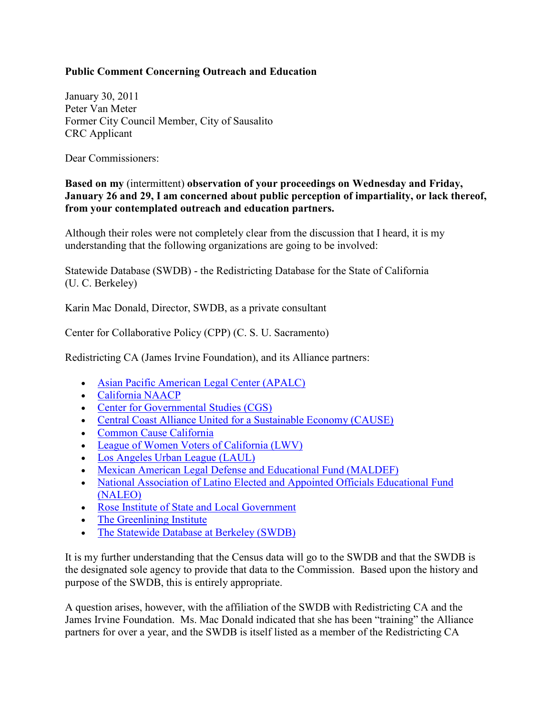## **Public Comment Concerning Outreach and Education**

January 30, 2011 Peter Van Meter Former City Council Member, City of Sausalito CRC Applicant

Dear Commissioners:

## **Based on my** (intermittent) **observation of your proceedings on Wednesday and Friday, January 26 and 29, I am concerned about public perception of impartiality, or lack thereof, from your contemplated outreach and education partners.**

Although their roles were not completely clear from the discussion that I heard, it is my understanding that the following organizations are going to be involved:

Statewide Database (SWDB) - the Redistricting Database for the State of California (U. C. Berkeley)

Karin Mac Donald, Director, SWDB, as a private consultant

Center for Collaborative Policy (CPP) (C. S. U. Sacramento)

Redistricting CA (James Irvine Foundation), and its Alliance partners:

- [Asian Pacific American Legal Center \(APALC\)](http://www.redistrictingca.org/about-us/apalc-asian-pacific-american-legal-center/)
- [California NAACP](http://www.redistrictingca.org/about-us/california-naacp/)
- [Center for Governmental Studies \(CGS\)](http://www.redistrictingca.org/about-us/cgs-center-for-governmental-studies/)
- [Central Coast Alliance United for a Sustainable Economy \(CAUSE\)](http://www.redistrictingca.org/about-us/cause-central-coast-alliance-united-for-a-sustainable-economy/)
- [Common Cause California](http://www.redistrictingca.org/about-us/common-cause-california/)
- [League of Women Voters of California \(LWV\)](http://www.redistrictingca.org/about-us/lwv-league-of-women-voters-of-california/)
- [Los Angeles Urban](http://www.redistrictingca.org/about-us/laul-los-angeles-urban-league/) League (LAUL)
- [Mexican American Legal Defense and Educational Fund \(MALDEF\)](http://www.redistrictingca.org/about-us/mexican-american-legal-defense-and-educational-fund-maldef/)
- [National Association of Latino Elected and Appointed Officials Educational Fund](http://www.redistrictingca.org/about-us/national-association-of-latino-elected-and-appointed-officials-educational-fund-naleo/)  [\(NALEO\)](http://www.redistrictingca.org/about-us/national-association-of-latino-elected-and-appointed-officials-educational-fund-naleo/)
- [Rose Institute of State and Local Government](http://www.redistrictingca.org/about-us/rose-institute-of-state-and-local-government/)
- [The Greenlining Institute](http://www.redistrictingca.org/about-us/the-greenlining-institute/)
- [The Statewide Database at Berkeley \(SWDB\)](http://www.redistrictingca.org/about-us/the-statewide-database-at-berkeley-swdb/)

It is my further understanding that the Census data will go to the SWDB and that the SWDB is the designated sole agency to provide that data to the Commission. Based upon the history and purpose of the SWDB, this is entirely appropriate.

A question arises, however, with the affiliation of the SWDB with Redistricting CA and the James Irvine Foundation. Ms. Mac Donald indicated that she has been "training" the Alliance partners for over a year, and the SWDB is itself listed as a member of the Redistricting CA